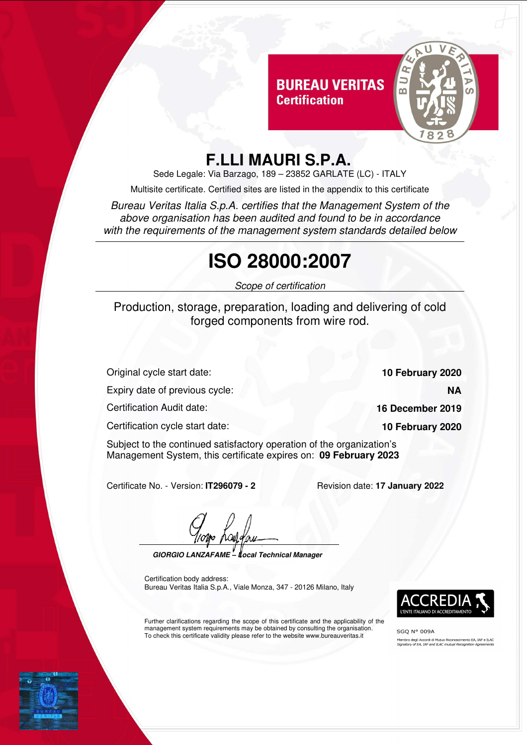#### **BUREAU VERITAS Certification**



### **F.LLI MAURI S.P.A.**

Sede Legale: Via Barzago, 189 – 23852 GARLATE (LC) - ITALY

Multisite certificate. Certified sites are listed in the appendix to this certificate

Bureau Veritas Italia S.p.A. certifies that the Management System of the above organisation has been audited and found to be in accordance with the requirements of the management system standards detailed below

# **ISO 28000:2007**

Scope of certification

Production, storage, preparation, loading and delivering of cold forged components from wire rod.

Original cycle start date: **10 February 2020**

Expiry date of previous cycle: **NA**

Certification Audit date: **16 December 2019**

Certification cycle start date: **10 February 2020**

Subject to the continued satisfactory operation of the organization's Management System, this certificate expires on: **09 February 2023**

Certificate No. - Version: **IT296079 - 2** Revision date: **17 January 2022**

**GIORGIO LANZAFAME – Local Technical Manager**

Certification body address: Bureau Veritas Italia S.p.A., Viale Monza, 347 - 20126 Milano, Italy

Further clarifications regarding the scope of this certificate and the applicability of the management system requirements may be obtained by consulting the organisation. To check this certificate validity please refer to the website www.bureauveritas.it



**SGO N° 009A** Membro degli Accordi di Mutuo Riconoscimento EA, IAF e ILAC<br>*Signatory of EA, IAF and ILAC mutual Recognition Agreements*